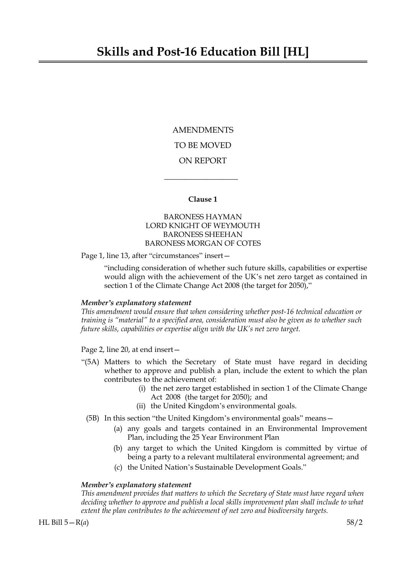AMENDMENTS TO BE MOVED ON REPORT

### **Clause 1**

 $\overline{\phantom{a}}$  , where  $\overline{\phantom{a}}$ 

# BARONESS HAYMAN LORD KNIGHT OF WEYMOUTH BARONESS SHEEHAN BARONESS MORGAN OF COTES

Page 1, line 13, after "circumstances" insert-

"including consideration of whether such future skills, capabilities or expertise would align with the achievement of the UK's net zero target as contained in section 1 of the Climate Change Act 2008 (the target for 2050),"

### *Member's explanatory statement*

*This amendment would ensure that when considering whether post-16 technical education or training is "material" to a specified area, consideration must also be given as to whether such future skills, capabilities or expertise align with the UK's net zero target.*

Page 2, line 20, at end insert—

- "(5A) Matters to which the Secretary of State must have regard in deciding whether to approve and publish a plan, include the extent to which the plan contributes to the achievement of:
	- (i) the net zero target established in section 1 of the Climate Change Act 2008 (the target for 2050); and
	- (ii) the United Kingdom's environmental goals.
	- (5B) In this section "the United Kingdom's environmental goals" means—
		- (a) any goals and targets contained in an Environmental Improvement Plan, including the 25 Year Environment Plan
		- (b) any target to which the United Kingdom is committed by virtue of being a party to a relevant multilateral environmental agreement; and
		- (c) the United Nation's Sustainable Development Goals."

#### *Member's explanatory statement*

*This amendment provides that matters to which the Secretary of State must have regard when deciding whether to approve and publish a local skills improvement plan shall include to what extent the plan contributes to the achievement of net zero and biodiversity targets.*

HL Bill 5—R(*a*) 58/2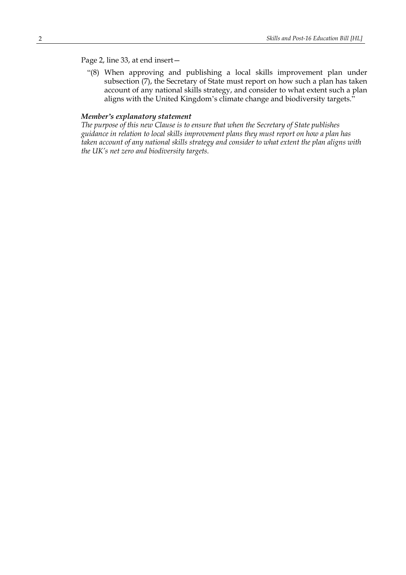# Page 2, line 33, at end insert—

"(8) When approving and publishing a local skills improvement plan under subsection (7), the Secretary of State must report on how such a plan has taken account of any national skills strategy, and consider to what extent such a plan aligns with the United Kingdom's climate change and biodiversity targets."

# *Member's explanatory statement*

*The purpose of this new Clause is to ensure that when the Secretary of State publishes guidance in relation to local skills improvement plans they must report on how a plan has taken account of any national skills strategy and consider to what extent the plan aligns with the UK's net zero and biodiversity targets.*